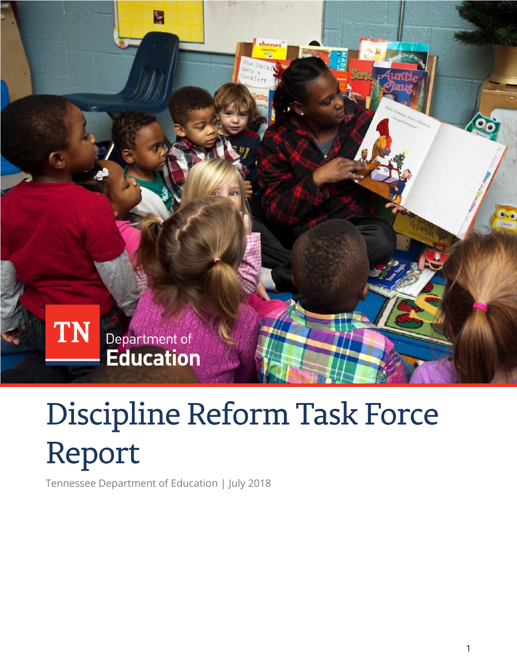

# Discipline Reform Task Force Report

Tennessee Department of Education | July 2018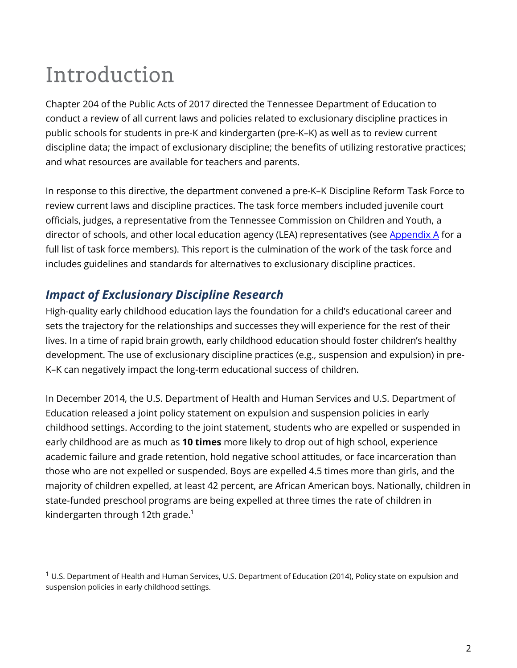# Introduction

 $\overline{a}$ 

Chapter 204 of the Public Acts of 2017 directed the Tennessee Department of Education to conduct a review of all current laws and policies related to exclusionary discipline practices in public schools for students in pre-K and kindergarten (pre-K–K) as well as to review current discipline data; the impact of exclusionary discipline; the benefits of utilizing restorative practices; and what resources are available for teachers and parents.

In response to this directive, the department convened a pre-K–K Discipline Reform Task Force to review current laws and discipline practices. The task force members included juvenile court officials, judges, a representative from the Tennessee Commission on Children and Youth, a director of schools, and other local education agency (LEA) representatives (see  $\Delta$ ppendix  $\Delta$  for a full list of task force members). This report is the culmination of the work of the task force and includes guidelines and standards for alternatives to exclusionary discipline practices.

# *Impact of Exclusionary Discipline Research*

High-quality early childhood education lays the foundation for a child's educational career and sets the trajectory for the relationships and successes they will experience for the rest of their lives. In a time of rapid brain growth, early childhood education should foster children's healthy development. The use of exclusionary discipline practices (e.g., suspension and expulsion) in pre-K–K can negatively impact the long-term educational success of children.

In December 2014, the U.S. Department of Health and Human Services and U.S. Department of Education released a joint policy statement on expulsion and suspension policies in early childhood settings. According to the joint statement, students who are expelled or suspended in early childhood are as much as **10 times** more likely to drop out of high school, experience academic failure and grade retention, hold negative school attitudes, or face incarceration than those who are not expelled or suspended. Boys are expelled 4.5 times more than girls, and the majority of children expelled, at least 42 percent, are African American boys. Nationally, children in state-funded preschool programs are being expelled at three times the rate of children in kindergarten through 12th grade.<sup>1</sup>

 $1$  U.S. Department of Health and Human Services, U.S. Department of Education (2014), Policy state on expulsion and suspension policies in early childhood settings.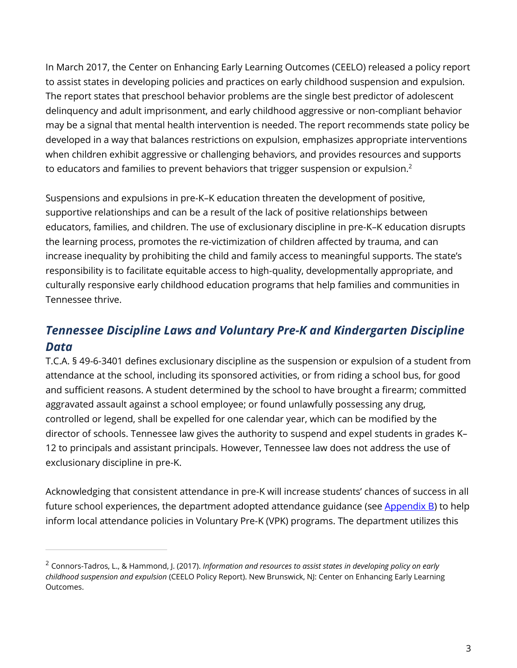In March 2017, the Center on Enhancing Early Learning Outcomes (CEELO) released a policy report to assist states in developing policies and practices on early childhood suspension and expulsion. The report states that preschool behavior problems are the single best predictor of adolescent delinquency and adult imprisonment, and early childhood aggressive or non-compliant behavior may be a signal that mental health intervention is needed. The report recommends state policy be developed in a way that balances restrictions on expulsion, emphasizes appropriate interventions when children exhibit aggressive or challenging behaviors, and provides resources and supports to educators and families to prevent behaviors that trigger suspension or expulsion.<sup>2</sup>

Suspensions and expulsions in pre-K–K education threaten the development of positive, supportive relationships and can be a result of the lack of positive relationships between educators, families, and children. The use of exclusionary discipline in pre-K–K education disrupts the learning process, promotes the re-victimization of children affected by trauma, and can increase inequality by prohibiting the child and family access to meaningful supports. The state's responsibility is to facilitate equitable access to high-quality, developmentally appropriate, and culturally responsive early childhood education programs that help families and communities in Tennessee thrive.

# *Tennessee Discipline Laws and Voluntary Pre-K and Kindergarten Discipline Data*

T.C.A. § 49-6-3401 defines exclusionary discipline as the suspension or expulsion of a student from attendance at the school, including its sponsored activities, or from riding a school bus, for good and sufficient reasons. A student determined by the school to have brought a firearm; committed aggravated assault against a school employee; or found unlawfully possessing any drug, controlled or legend, shall be expelled for one calendar year, which can be modified by the director of schools. Tennessee law gives the authority to suspend and expel students in grades K– 12 to principals and assistant principals. However, Tennessee law does not address the use of exclusionary discipline in pre-K.

Acknowledging that consistent attendance in pre-K will increase students' chances of success in all future school experiences, the department adopted attendance guidance (see  $\Delta$ ppendix  $\overline{B}$ ) to help inform local attendance policies in Voluntary Pre-K (VPK) programs. The department utilizes this

 $\overline{a}$ 

<sup>2</sup> Connors-Tadros, L., & Hammond, J. (2017). *Information and resources to assist states in developing policy on early childhood suspension and expulsion* (CEELO Policy Report). New Brunswick, NJ: Center on Enhancing Early Learning Outcomes.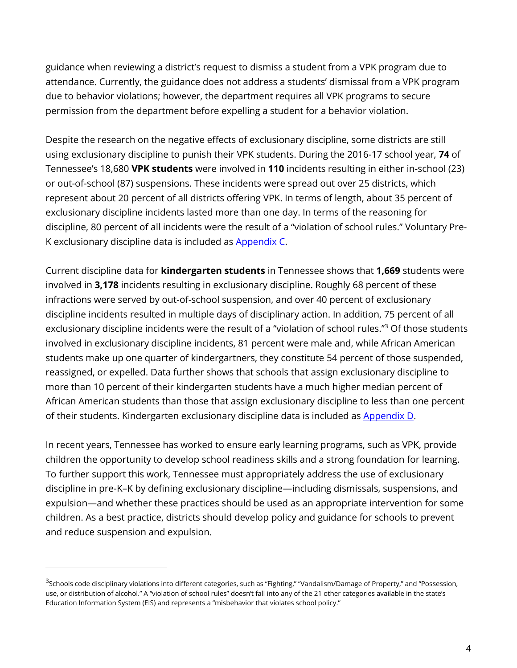guidance when reviewing a district's request to dismiss a student from a VPK program due to attendance. Currently, the guidance does not address a students' dismissal from a VPK program due to behavior violations; however, the department requires all VPK programs to secure permission from the department before expelling a student for a behavior violation.

Despite the research on the negative effects of exclusionary discipline, some districts are still using exclusionary discipline to punish their VPK students. During the 2016-17 school year, **74** of Tennessee's 18,680 **VPK students** were involved in **110** incidents resulting in either in-school (23) or out-of-school (87) suspensions. These incidents were spread out over 25 districts, which represent about 20 percent of all districts offering VPK. In terms of length, about 35 percent of exclusionary discipline incidents lasted more than one day. In terms of the reasoning for discipline, 80 percent of all incidents were the result of a "violation of school rules." Voluntary Pre-K exclusionary discipline data is included as [Appendix C.](#page-10-0)

Current discipline data for **kindergarten students** in Tennessee shows that **1,669** students were involved in **3,178** incidents resulting in exclusionary discipline. Roughly 68 percent of these infractions were served by out-of-school suspension, and over 40 percent of exclusionary discipline incidents resulted in multiple days of disciplinary action. In addition, 75 percent of all exclusionary discipline incidents were the result of a "violation of school rules."<sup>3</sup> Of those students involved in exclusionary discipline incidents, 81 percent were male and, while African American students make up one quarter of kindergartners, they constitute 54 percent of those suspended, reassigned, or expelled. Data further shows that schools that assign exclusionary discipline to more than 10 percent of their kindergarten students have a much higher median percent of African American students than those that assign exclusionary discipline to less than one percent of their students. Kindergarten exclusionary discipline data is included as [Appendix D.](#page-13-0)

In recent years, Tennessee has worked to ensure early learning programs, such as VPK, provide children the opportunity to develop school readiness skills and a strong foundation for learning. To further support this work, Tennessee must appropriately address the use of exclusionary discipline in pre-K–K by defining exclusionary discipline—including dismissals, suspensions, and expulsion—and whether these practices should be used as an appropriate intervention for some children. As a best practice, districts should develop policy and guidance for schools to prevent and reduce suspension and expulsion.

<sup>&</sup>lt;sup>3</sup>Schools code disciplinary violations into different categories, such as "Fighting," "Vandalism/Damage of Property," and "Possession, use, or distribution of alcohol." A "violation of school rules" doesn't fall into any of the 21 other categories available in the state's Education Information System (EIS) and represents a "misbehavior that violates school policy."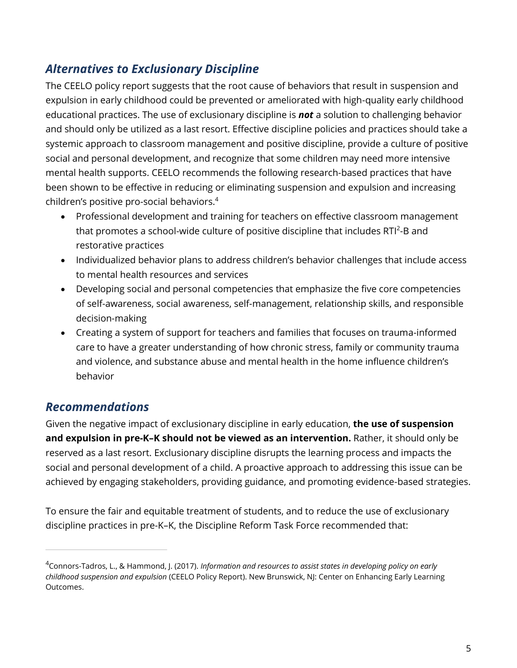# *Alternatives to Exclusionary Discipline*

The CEELO policy report suggests that the root cause of behaviors that result in suspension and expulsion in early childhood could be prevented or ameliorated with high-quality early childhood educational practices. The use of exclusionary discipline is *not* a solution to challenging behavior and should only be utilized as a last resort. Effective discipline policies and practices should take a systemic approach to classroom management and positive discipline, provide a culture of positive social and personal development, and recognize that some children may need more intensive mental health supports. CEELO recommends the following research-based practices that have been shown to be effective in reducing or eliminating suspension and expulsion and increasing children's positive pro-social behaviors.<sup>4</sup>

- Professional development and training for teachers on effective classroom management that promotes a school-wide culture of positive discipline that includes  $RTI<sup>2</sup>$ -B and restorative practices
- Individualized behavior plans to address children's behavior challenges that include access to mental health resources and services
- Developing social and personal competencies that emphasize the five core competencies of self-awareness, social awareness, self-management, relationship skills, and responsible decision-making
- Creating a system of support for teachers and families that focuses on trauma-informed care to have a greater understanding of how chronic stress, family or community trauma and violence, and substance abuse and mental health in the home influence children's behavior

## *Recommendations*

 $\overline{a}$ 

Given the negative impact of exclusionary discipline in early education, **the use of suspension and expulsion in pre-K–K should not be viewed as an intervention.** Rather, it should only be reserved as a last resort. Exclusionary discipline disrupts the learning process and impacts the social and personal development of a child. A proactive approach to addressing this issue can be achieved by engaging stakeholders, providing guidance, and promoting evidence-based strategies.

To ensure the fair and equitable treatment of students, and to reduce the use of exclusionary discipline practices in pre-K–K, the Discipline Reform Task Force recommended that:

<sup>4</sup>Connors-Tadros, L., & Hammond, J. (2017). *Information and resources to assist states in developing policy on early childhood suspension and expulsion* (CEELO Policy Report). New Brunswick, NJ: Center on Enhancing Early Learning Outcomes.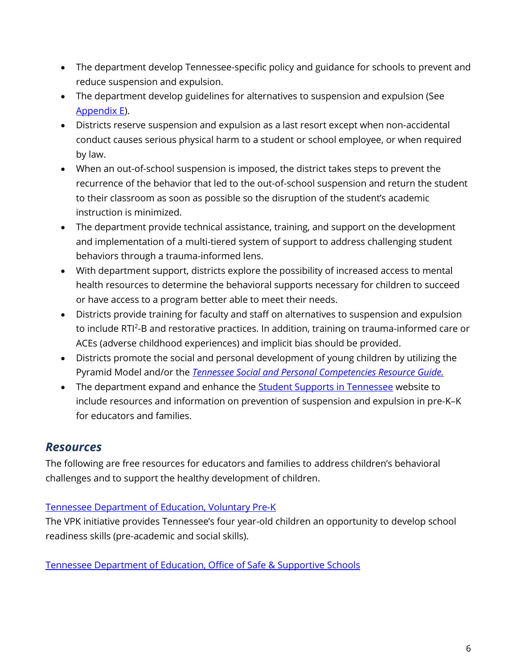- The department develop Tennessee-specific policy and guidance for schools to prevent and reduce suspension and expulsion.
- The department develop guidelines for alternatives to suspension and expulsion (See [Appendix E\)](#page-19-0).
- Districts reserve suspension and expulsion as a last resort except when non-accidental conduct causes serious physical harm to a student or school employee, or when required by law.
- When an out-of-school suspension is imposed, the district takes steps to prevent the recurrence of the behavior that led to the out-of-school suspension and return the student to their classroom as soon as possible so the disruption of the student's academic instruction is minimized.
- The department provide technical assistance, training, and support on the development and implementation of a multi-tiered system of support to address challenging student behaviors through a trauma-informed lens.
- With department support, districts explore the possibility of increased access to mental health resources to determine the behavioral supports necessary for children to succeed or have access to a program better able to meet their needs.
- Districts provide training for faculty and staff on alternatives to suspension and expulsion to include RTI<sup>2</sup>-B and restorative practices. In addition, training on trauma-informed care or ACEs (adverse childhood experiences) and implicit bias should be provided.
- Districts promote the social and personal development of young children by utilizing the Pyramid Model and/or the *[Tennessee Social and Personal Competencies Resource Guide.](https://www.tn.gov/content/dam/tn/education/safety/safe_sch/SPC_Resource_Guide.pdf)*
- The department expand and enhance the **Student Supports in Tennessee** website to include resources and information on prevention of suspension and expulsion in pre-K–K for educators and families.

#### *Resources*

The following are free resources for educators and families to address children's behavioral challenges and to support the healthy development of children.

#### [Tennessee Department of Education, Voluntary Pre-K](https://www.tn.gov/education/topic/voluntary-pre-k)

The VPK initiative provides Tennessee's four year-old children an opportunity to develop school readiness skills (pre-academic and social skills).

[Tennessee Department of Education, Office of Safe & Supportive Schools](https://www.tn.gov/education/topic/safe-schools-training)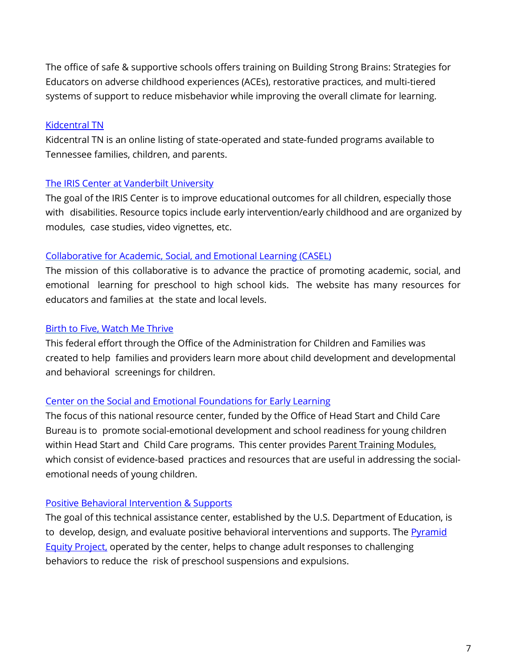The office of safe & supportive schools offers training on Building Strong Brains: Strategies for Educators on adverse childhood experiences (ACEs), restorative practices, and multi-tiered systems of support to reduce misbehavior while improving the overall climate for learning.

#### [Kidcentral TN](https://kidcentraltn.com/)

Kidcentral TN is an online listing of state-operated and state-funded programs available to Tennessee families, children, and parents.

#### The [IRIS Center at](http://iris.peabody.vanderbilt.edu/iris-resource-locator/?term=early-intervention-early-childhood) Vanderbilt University

The goal of the IRIS Center is to improve educational outcomes for all children, especially those with disabilities. Resource topics include early [intervention/early](http://iris.peabody.vanderbilt.edu/iris-resource-locator/?term=early-intervention-early-childhood) childhood and are organized by modules, case studies, video vignettes, etc.

#### Collaborative for Academic, Social, and Emotional [Learning \(CASEL\)](http://www.casel.org/)

The mission of this collaborative is to advance the practice of promoting academic, social, and emotional learning for preschool to high school kids. The website has many resources for educators and families at the state and local levels.

#### [Birth to](http://www.acf.hhs.gov/ecd/child-health-development/watch-me-thrive) Five, Watch Me Thrive

This federal effort through the Office of the Administration for Children and Families was created to help families and providers learn more about child development and developmental and behavioral screenings for children.

#### Center on the Social and Emotional [Foundations for](http://csefel.vanderbilt.edu/) Early Learning

The focus of this national resource center, funded by the Office of Head Start and Child Care Bureau is to promote social-emotional development and school readiness for young children within Head Start and Child Care programs. This center provides Parent Training Modules, which consist of evidence-based practices and resources that are useful in addressing the socialemotional needs of young children.

#### Positive Behavioral [Intervention &](https://www.pbis.org/) Supports

The goal of this technical assistance center, established by the U.S. Department of Education, is to develop, design, and evaluate positive behavioral interventions and supports. The **Pyramid Equity Project**, operated by the center, helps to change adult responses to challenging behaviors to reduce the risk of preschool suspensions and expulsions.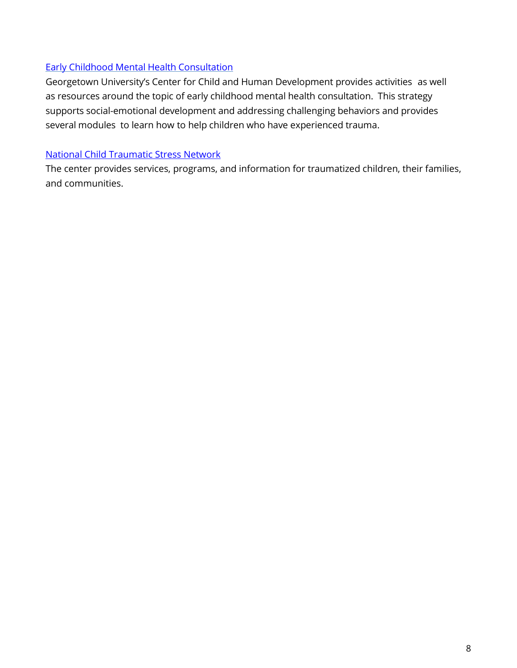#### Early Childhood Mental [Health Consultation](http://gucchd.georgetown.edu/67637.html)

Georgetown University's Center for Child and Human Development provides activities as well as resources around the topic of early childhood mental health consultation. This strategy supports social-emotional development and addressing challenging behaviors and provides several modules to learn how to help children who have experienced trauma.

#### [National Child Traumatic Stress Network](http://www.nctsn.org/)

The center provides services, programs, and information for traumatized children, their families, and communities.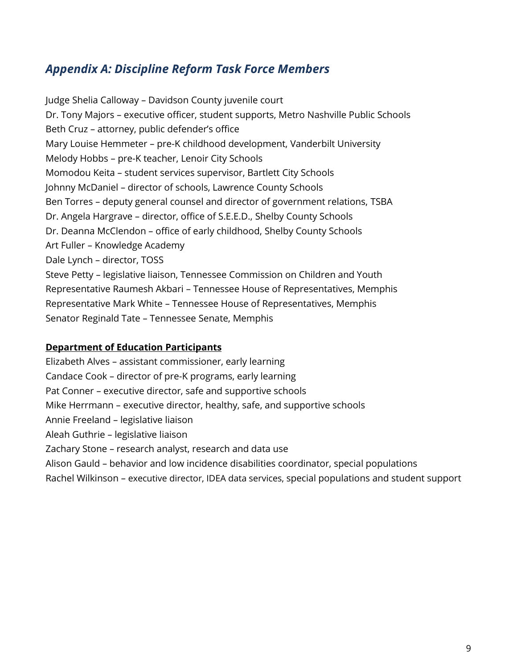### <span id="page-8-0"></span>*Appendix A: Discipline Reform Task Force Members*

Judge Shelia Calloway – Davidson County juvenile court Dr. Tony Majors – executive officer, student supports, Metro Nashville Public Schools Beth Cruz – attorney, public defender's office Mary Louise Hemmeter – pre-K childhood development, Vanderbilt University Melody Hobbs – pre-K teacher, Lenoir City Schools Momodou Keita – student services supervisor, Bartlett City Schools Johnny McDaniel – director of schools, Lawrence County Schools Ben Torres – deputy general counsel and director of government relations, TSBA Dr. Angela Hargrave – director, office of S.E.E.D., Shelby County Schools Dr. Deanna McClendon – office of early childhood, Shelby County Schools Art Fuller – Knowledge Academy Dale Lynch – director, TOSS Steve Petty – legislative liaison, Tennessee Commission on Children and Youth Representative Raumesh Akbari – Tennessee House of Representatives, Memphis Representative Mark White – Tennessee House of Representatives, Memphis Senator Reginald Tate – Tennessee Senate, Memphis

#### **Department of Education Participants**

Elizabeth Alves – assistant commissioner, early learning Candace Cook – director of pre-K programs, early learning Pat Conner – executive director, safe and supportive schools Mike Herrmann – executive director, healthy, safe, and supportive schools Annie Freeland – legislative liaison Aleah Guthrie – legislative liaison Zachary Stone – research analyst, research and data use Alison Gauld – behavior and low incidence disabilities coordinator, special populations Rachel Wilkinson – executive director, IDEA data services, special populations and student support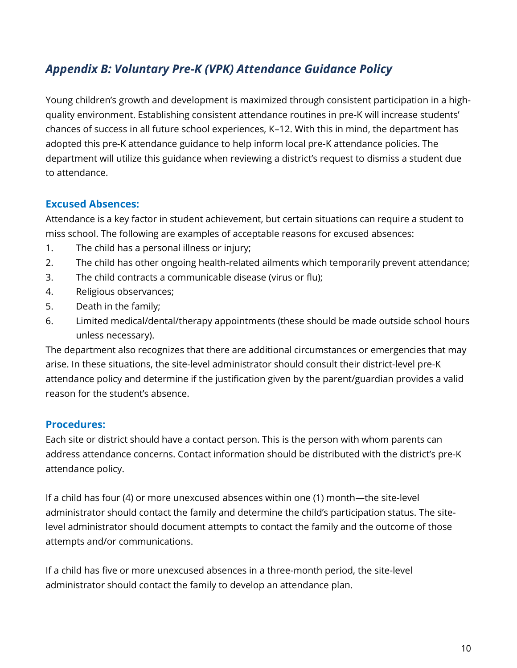# <span id="page-9-0"></span>*Appendix B: Voluntary Pre-K (VPK) Attendance Guidance Policy*

Young children's growth and development is maximized through consistent participation in a highquality environment. Establishing consistent attendance routines in pre-K will increase students' chances of success in all future school experiences, K–12. With this in mind, the department has adopted this pre-K attendance guidance to help inform local pre-K attendance policies. The department will utilize this guidance when reviewing a district's request to dismiss a student due to attendance.

#### **Excused Absences:**

Attendance is a key factor in student achievement, but certain situations can require a student to miss school. The following are examples of acceptable reasons for excused absences:

- 1. The child has a personal illness or injury;
- 2. The child has other ongoing health-related ailments which temporarily prevent attendance;
- 3. The child contracts a communicable disease (virus or flu);
- 4. Religious observances;
- 5. Death in the family;
- 6. Limited medical/dental/therapy appointments (these should be made outside school hours unless necessary).

The department also recognizes that there are additional circumstances or emergencies that may arise. In these situations, the site-level administrator should consult their district-level pre-K attendance policy and determine if the justification given by the parent/guardian provides a valid reason for the student's absence.

#### **Procedures:**

Each site or district should have a contact person. This is the person with whom parents can address attendance concerns. Contact information should be distributed with the district's pre-K attendance policy.

If a child has four (4) or more unexcused absences within one (1) month—the site-level administrator should contact the family and determine the child's participation status. The sitelevel administrator should document attempts to contact the family and the outcome of those attempts and/or communications.

If a child has five or more unexcused absences in a three-month period, the site-level administrator should contact the family to develop an attendance plan.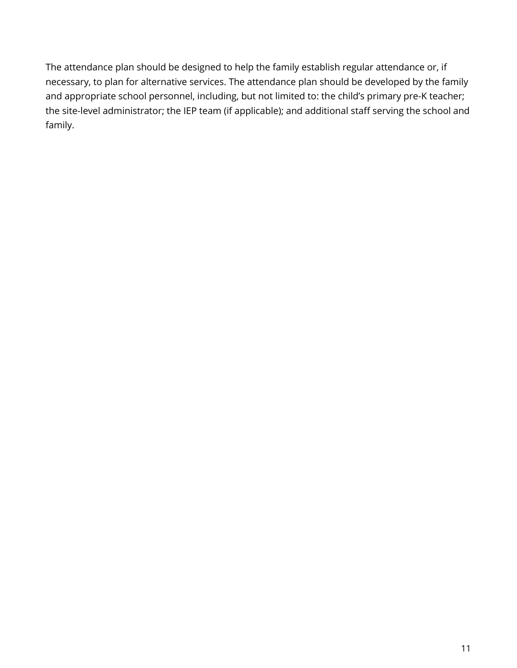<span id="page-10-0"></span>The attendance plan should be designed to help the family establish regular attendance or, if necessary, to plan for alternative services. The attendance plan should be developed by the family and appropriate school personnel, including, but not limited to: the child's primary pre-K teacher; the site-level administrator; the IEP team (if applicable); and additional staff serving the school and family.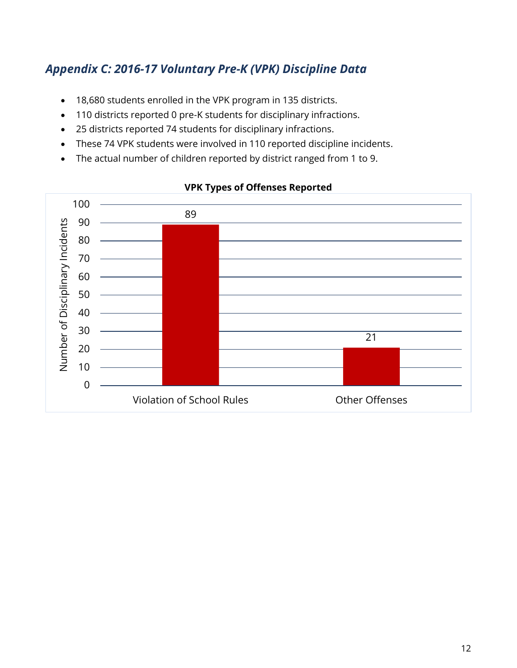# *Appendix C: 2016-17 Voluntary Pre-K (VPK) Discipline Data*

- 18,680 students enrolled in the VPK program in 135 districts.
- 110 districts reported 0 pre-K students for disciplinary infractions.
- 25 districts reported 74 students for disciplinary infractions.
- These 74 VPK students were involved in 110 reported discipline incidents.
- The actual number of children reported by district ranged from 1 to 9.



#### **VPK Types of Offenses Reported**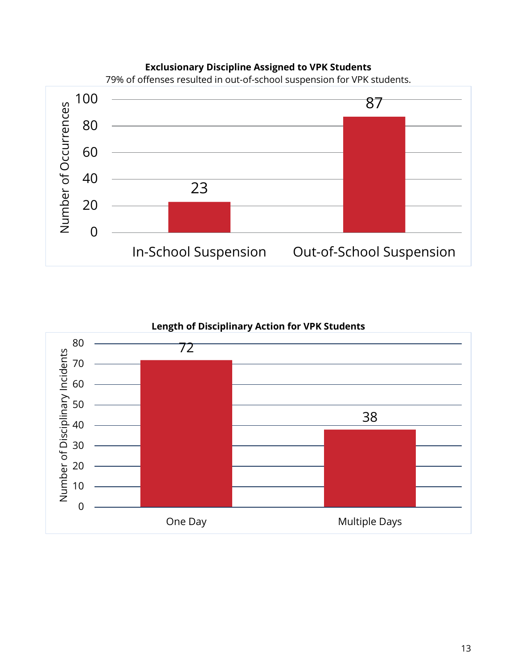#### **Exclusionary Discipline Assigned to VPK Students**



79% of offenses resulted in out-of-school suspension for VPK students.

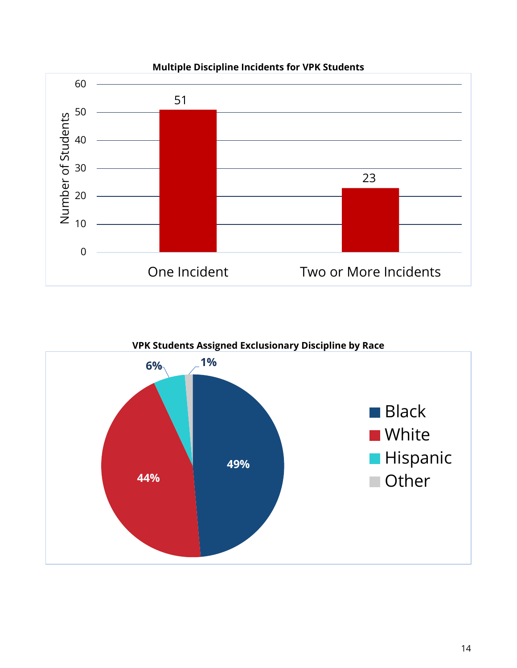

<span id="page-13-0"></span>

**VPK Students Assigned Exclusionary Discipline by Race**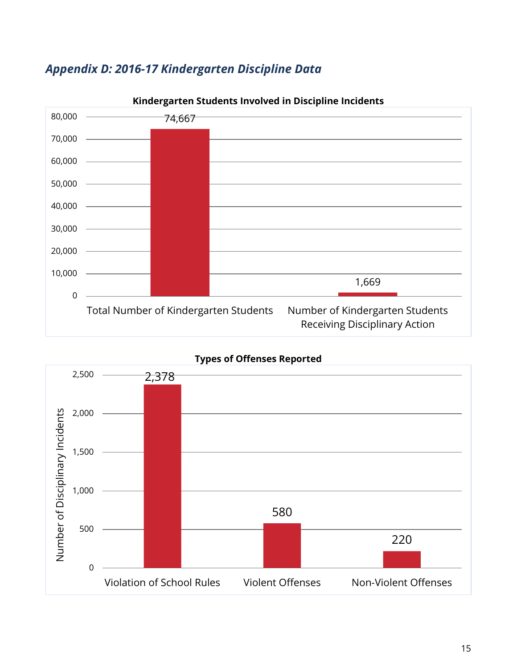



**Kindergarten Students Involved in Discipline Incidents**



**Types of Offenses Reported**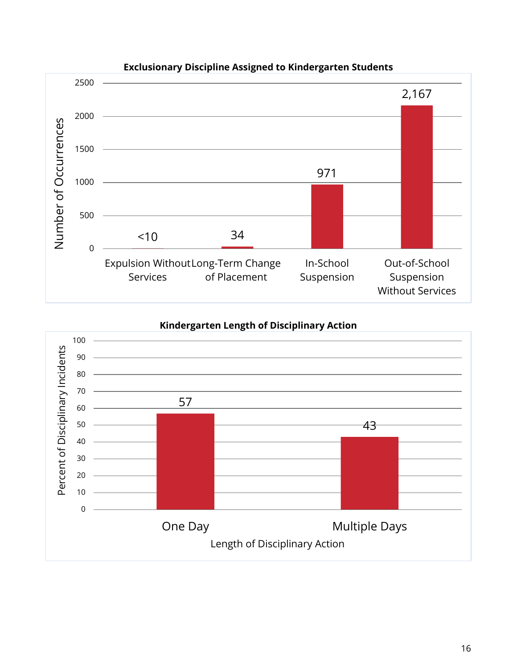

#### **Exclusionary Discipline Assigned to Kindergarten Students**

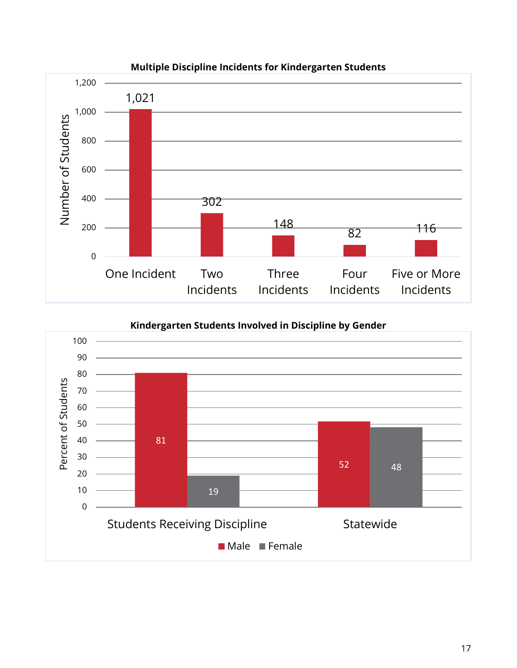

#### **Multiple Discipline Incidents for Kindergarten Students**

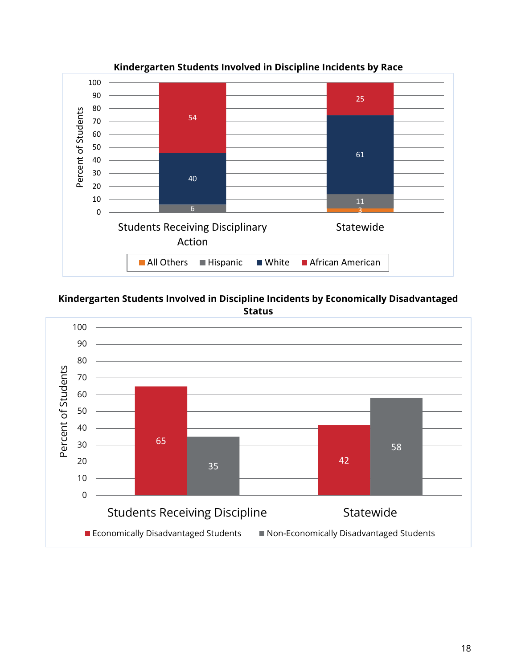

**Kindergarten Students Involved in Discipline Incidents by Race**

**Kindergarten Students Involved in Discipline Incidents by Economically Disadvantaged Status**

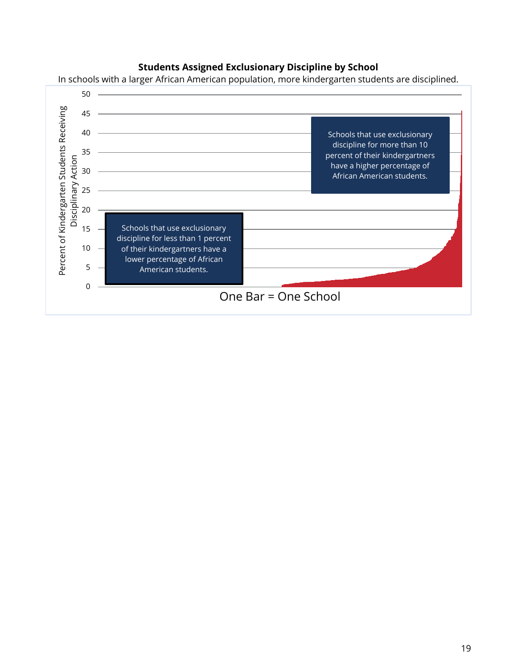

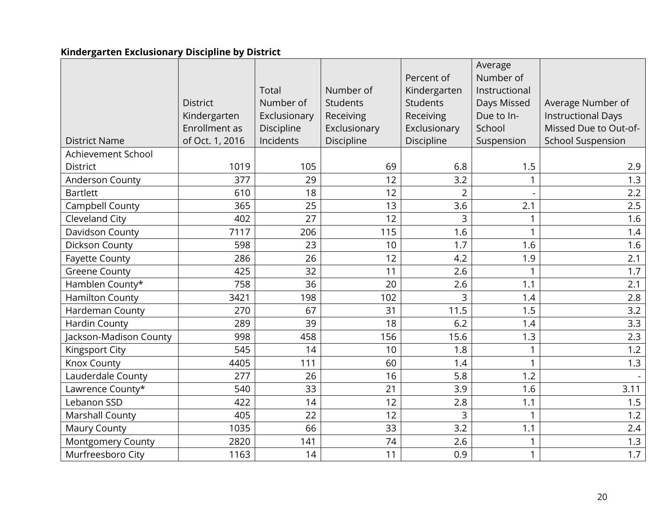# **Kindergarten Exclusionary Discipline by District**

<span id="page-19-0"></span>

|                          |                 |              |                 |                 | Average       |                           |
|--------------------------|-----------------|--------------|-----------------|-----------------|---------------|---------------------------|
|                          |                 |              |                 | Percent of      | Number of     |                           |
|                          |                 | Total        | Number of       | Kindergarten    | Instructional |                           |
|                          | <b>District</b> | Number of    | <b>Students</b> | <b>Students</b> | Days Missed   | Average Number of         |
|                          | Kindergarten    | Exclusionary | Receiving       | Receiving       | Due to In-    | <b>Instructional Days</b> |
|                          | Enrollment as   | Discipline   | Exclusionary    | Exclusionary    | School        | Missed Due to Out-of-     |
| <b>District Name</b>     | of Oct. 1, 2016 | Incidents    | Discipline      | Discipline      | Suspension    | <b>School Suspension</b>  |
| Achievement School       |                 |              |                 |                 |               |                           |
| <b>District</b>          | 1019            | 105          | 69              | 6.8             | 1.5           | 2.9                       |
| Anderson County          | 377             | 29           | 12              | 3.2             |               | 1.3                       |
| <b>Bartlett</b>          | 610             | 18           | 12              | $\overline{2}$  |               | 2.2                       |
| Campbell County          | 365             | 25           | 13              | 3.6             | 2.1           | 2.5                       |
| Cleveland City           | 402             | 27           | 12              | $\overline{3}$  | $\mathbf{1}$  | 1.6                       |
| Davidson County          | 7117            | 206          | 115             | 1.6             | $\mathbf{1}$  | 1.4                       |
| Dickson County           | 598             | 23           | 10              | 1.7             | 1.6           | 1.6                       |
| <b>Fayette County</b>    | 286             | 26           | 12              | 4.2             | 1.9           | 2.1                       |
| <b>Greene County</b>     | 425             | 32           | 11              | 2.6             |               | 1.7                       |
| Hamblen County*          | 758             | 36           | 20              | 2.6             | 1.1           | 2.1                       |
| <b>Hamilton County</b>   | 3421            | 198          | 102             | 3               | 1.4           | 2.8                       |
| Hardeman County          | 270             | 67           | 31              | 11.5            | 1.5           | 3.2                       |
| <b>Hardin County</b>     | 289             | 39           | 18              | 6.2             | 1.4           | 3.3                       |
| Jackson-Madison County   | 998             | 458          | 156             | 15.6            | 1.3           | 2.3                       |
| Kingsport City           | 545             | 14           | 10              | 1.8             | $\mathbf{1}$  | 1.2                       |
| Knox County              | 4405            | 111          | 60              | 1.4             | 1             | 1.3                       |
| Lauderdale County        | 277             | 26           | 16              | 5.8             | 1.2           |                           |
| Lawrence County*         | 540             | 33           | 21              | 3.9             | 1.6           | 3.11                      |
| Lebanon SSD              | 422             | 14           | 12              | 2.8             | 1.1           | 1.5                       |
| Marshall County          | 405             | 22           | 12              | 3               | 1             | 1.2                       |
| <b>Maury County</b>      | 1035            | 66           | 33              | 3.2             | 1.1           | 2.4                       |
| <b>Montgomery County</b> | 2820            | 141          | 74              | 2.6             | 1             | 1.3                       |
| Murfreesboro City        | 1163            | 14           | 11              | 0.9             | $\mathbf{1}$  | 1.7                       |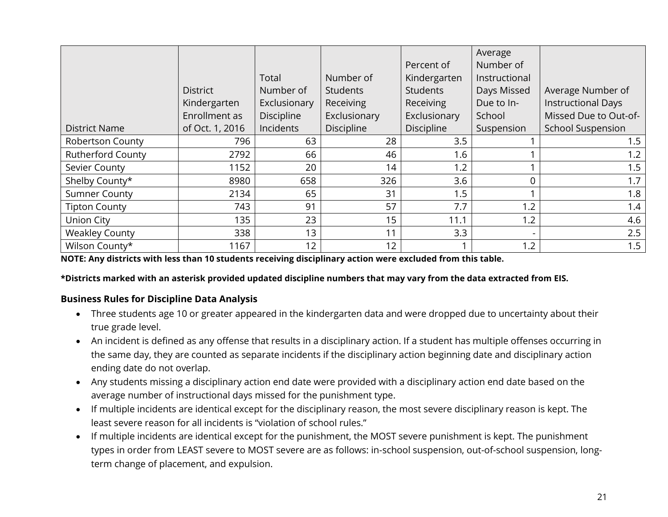|                          |                 |                   |                 |                 | Average        |                           |
|--------------------------|-----------------|-------------------|-----------------|-----------------|----------------|---------------------------|
|                          |                 |                   |                 | Percent of      | Number of      |                           |
|                          |                 | Total             | Number of       | Kindergarten    | Instructional  |                           |
|                          | <b>District</b> | Number of         | <b>Students</b> | <b>Students</b> | Days Missed    | Average Number of         |
|                          | Kindergarten    | Exclusionary      | Receiving       | Receiving       | Due to In-     | <b>Instructional Days</b> |
|                          | Enrollment as   | <b>Discipline</b> | Exclusionary    | Exclusionary    | School         | Missed Due to Out-of-     |
| <b>District Name</b>     | of Oct. 1, 2016 | Incidents         | Discipline      | Discipline      | Suspension     | <b>School Suspension</b>  |
| Robertson County         | 796             | 63                | 28              | 3.5             |                | 1.5                       |
| <b>Rutherford County</b> | 2792            | 66                | 46              | 1.6             |                | 1.2                       |
| Sevier County            | 1152            | 20                | 14              | 1.2             |                | 1.5                       |
| Shelby County*           | 8980            | 658               | 326             | 3.6             | 0              | 1.7                       |
| <b>Sumner County</b>     | 2134            | 65                | 31              | 1.5             |                | 1.8                       |
| <b>Tipton County</b>     | 743             | 91                | 57              | 7.7             | 1.2            | 1.4                       |
| Union City               | 135             | 23                | 15              | 11.1            | 1.2            | 4.6                       |
| <b>Weakley County</b>    | 338             | 13                | 11              | 3.3             | $\blacksquare$ | 2.5                       |
| Wilson County*           | 1167            | 12                | 12              |                 | 1.2            | 1.5                       |

**NOTE: Any districts with less than 10 students receiving disciplinary action were excluded from this table.** 

**\*Districts marked with an asterisk provided updated discipline numbers that may vary from the data extracted from EIS.**

#### **Business Rules for Discipline Data Analysis**

- Three students age 10 or greater appeared in the kindergarten data and were dropped due to uncertainty about their true grade level.
- An incident is defined as any offense that results in a disciplinary action. If a student has multiple offenses occurring in the same day, they are counted as separate incidents if the disciplinary action beginning date and disciplinary action ending date do not overlap.
- Any students missing a disciplinary action end date were provided with a disciplinary action end date based on the average number of instructional days missed for the punishment type.
- If multiple incidents are identical except for the disciplinary reason, the most severe disciplinary reason is kept. The least severe reason for all incidents is "violation of school rules."
- If multiple incidents are identical except for the punishment, the MOST severe punishment is kept. The punishment types in order from LEAST severe to MOST severe are as follows: in-school suspension, out-of-school suspension, longterm change of placement, and expulsion.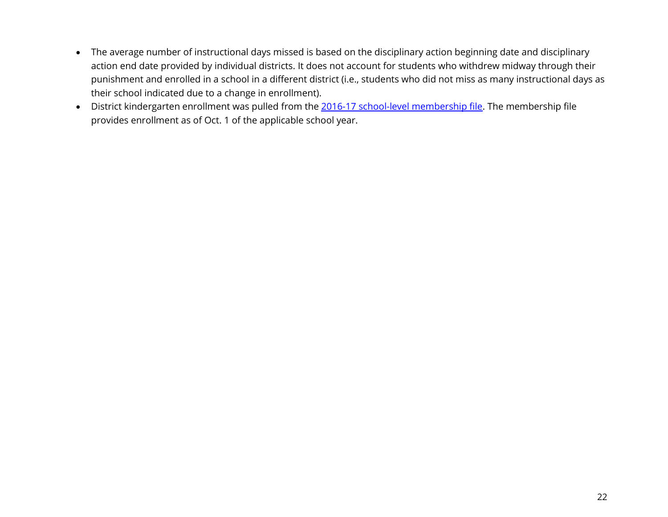- The average number of instructional days missed is based on the disciplinary action beginning date and disciplinary action end date provided by individual districts. It does not account for students who withdrew midway through their punishment and enrolled in a school in a different district (i.e., students who did not miss as many instructional days as their school indicated due to a change in enrollment).
- District kindergarten enrollment was pulled from the [2016-17 school-level membership file.](https://www.tn.gov/content/dam/tn/education/data/data_2016-17_membership_school.xlsx) The membership file provides enrollment as of Oct. 1 of the applicable school year.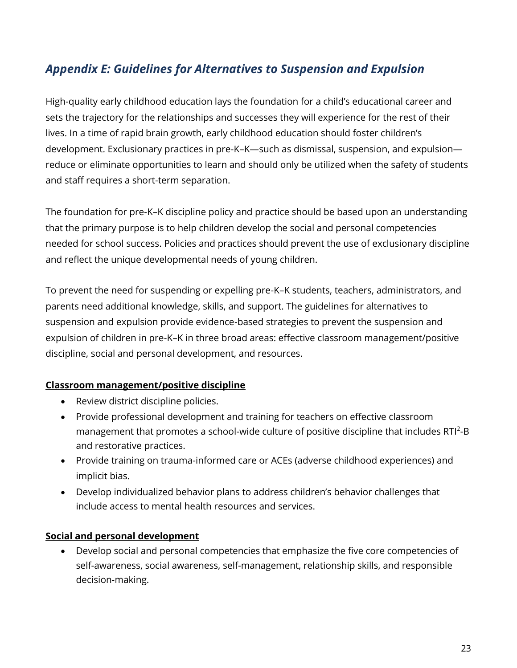# *Appendix E: Guidelines for Alternatives to Suspension and Expulsion*

High-quality early childhood education lays the foundation for a child's educational career and sets the trajectory for the relationships and successes they will experience for the rest of their lives. In a time of rapid brain growth, early childhood education should foster children's development. Exclusionary practices in pre-K–K—such as dismissal, suspension, and expulsion reduce or eliminate opportunities to learn and should only be utilized when the safety of students and staff requires a short-term separation.

The foundation for pre-K–K discipline policy and practice should be based upon an understanding that the primary purpose is to help children develop the social and personal competencies needed for school success. Policies and practices should prevent the use of exclusionary discipline and reflect the unique developmental needs of young children.

To prevent the need for suspending or expelling pre-K–K students, teachers, administrators, and parents need additional knowledge, skills, and support. The guidelines for alternatives to suspension and expulsion provide evidence-based strategies to prevent the suspension and expulsion of children in pre-K–K in three broad areas: effective classroom management/positive discipline, social and personal development, and resources.

#### **Classroom management/positive discipline**

- Review district discipline policies.
- Provide professional development and training for teachers on effective classroom management that promotes a school-wide culture of positive discipline that includes  $RTI^2-B$ and restorative practices.
- Provide training on trauma-informed care or ACEs (adverse childhood experiences) and implicit bias.
- Develop individualized behavior plans to address children's behavior challenges that include access to mental health resources and services.

#### **Social and personal development**

 Develop social and personal competencies that emphasize the five core competencies of self-awareness, social awareness, self-management, relationship skills, and responsible decision-making.